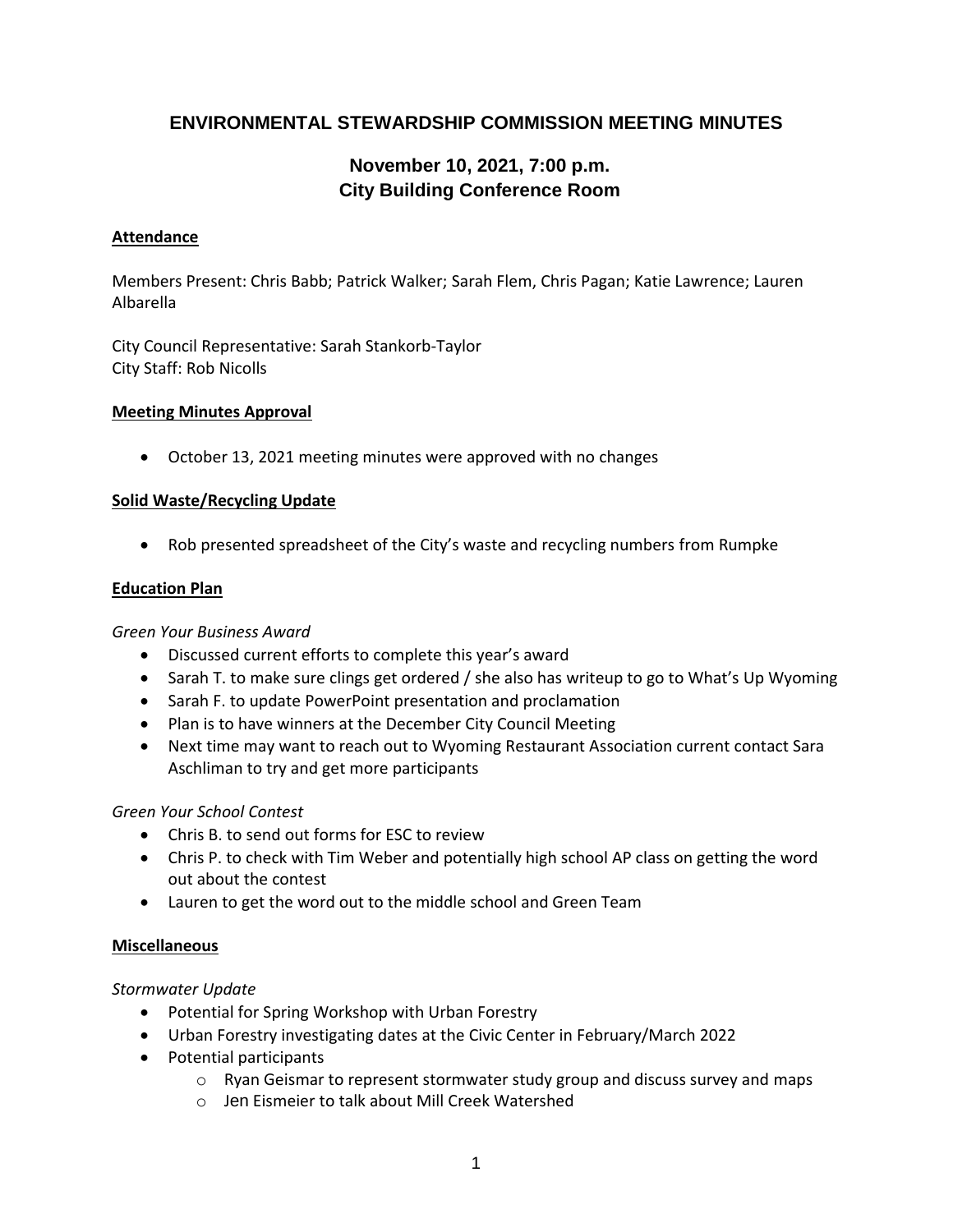# **ENVIRONMENTAL STEWARDSHIP COMMISSION MEETING MINUTES**

# **November 10, 2021, 7:00 p.m. City Building Conference Room**

#### **Attendance**

Members Present: Chris Babb; Patrick Walker; Sarah Flem, Chris Pagan; Katie Lawrence; Lauren Albarella

City Council Representative: Sarah Stankorb-Taylor City Staff: Rob Nicolls

#### **Meeting Minutes Approval**

October 13, 2021 meeting minutes were approved with no changes

#### **Solid Waste/Recycling Update**

Rob presented spreadsheet of the City's waste and recycling numbers from Rumpke

#### **Education Plan**

#### *Green Your Business Award*

- Discussed current efforts to complete this year's award
- Sarah T. to make sure clings get ordered / she also has writeup to go to What's Up Wyoming
- Sarah F. to update PowerPoint presentation and proclamation
- Plan is to have winners at the December City Council Meeting
- Next time may want to reach out to Wyoming Restaurant Association current contact Sara Aschliman to try and get more participants

#### *Green Your School Contest*

- Chris B. to send out forms for ESC to review
- Chris P. to check with Tim Weber and potentially high school AP class on getting the word out about the contest
- Lauren to get the word out to the middle school and Green Team

#### **Miscellaneous**

#### *Stormwater Update*

- Potential for Spring Workshop with Urban Forestry
- Urban Forestry investigating dates at the Civic Center in February/March 2022
- Potential participants
	- $\circ$  Ryan Geismar to represent stormwater study group and discuss survey and maps
	- o Jen Eismeier to talk about Mill Creek Watershed